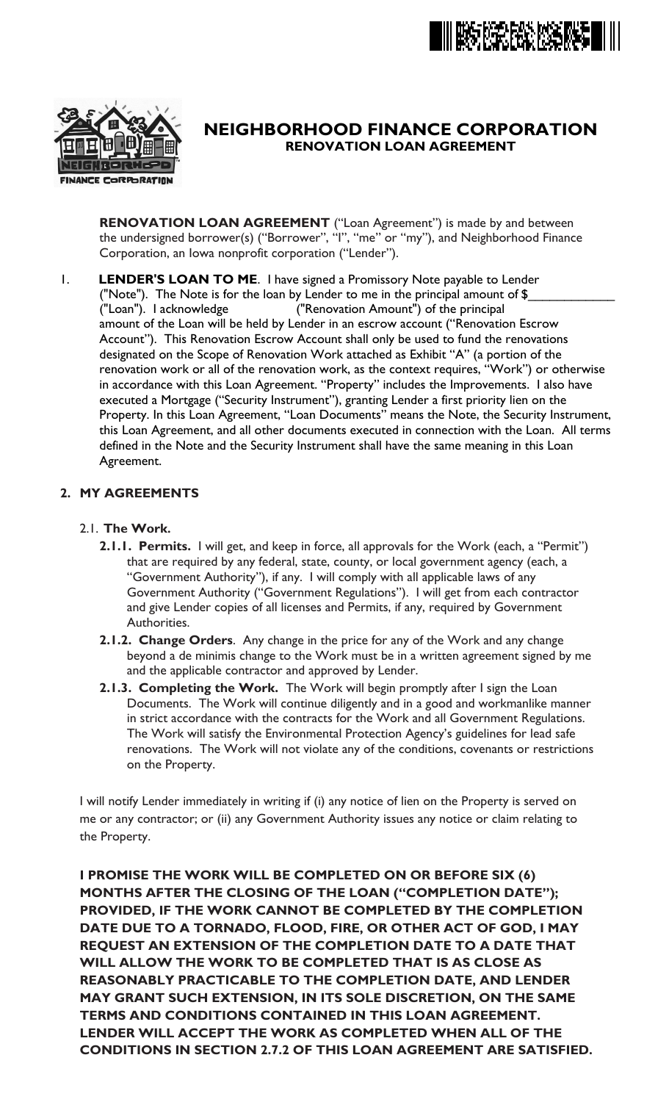



# **RENOVATION LOAN AGREEMENT NEIGHBORHOOD FINANCE CORPORATION**

**RENOVATION LOAN AGREEMENT** ("Loan Agreement") is made by and between the undersigned borrower(s) ("Borrower", "I", "me" or "my"), and Neighborhood Finance Corporation, an Iowa nonprofit corporation ("Lender").

amount of the Loan will be held by Lender in an escrow account ("Renovation Escrow Account"). This Renovation Escrow Account shall only be used to fund the renovations designated on the Scope of Renovation Work attached as Exhibit "A" (a portion of the renovation work or all of the renovation work, as the context requires, "Work") or otherwise in accordance with this Loan Agreement. "Property" includes the Improvements. I also have executed a Mortgage ("Security Instrument"), granting Lender a first priority lien on the Property. In this Loan Agreement, "Loan Documents" means the Note, the Security Instrument, this Loan Agreement, and all other documents executed in connection with the Loan. All terms defined in the Note and the Security Instrument shall have the same meaning in this Loan Agreement. 1. **LENDER'S LOAN TO ME**. I have signed a Promissory Note payable to Lender ("Loan"). I acknowledge ("Renovation Amount") of the principal ("Note"). The Note is for the loan by Lender to me in the principal amount of  $$$ 

### **2. MY AGREEMENTS**

- 2.1. **The Work.**
	- **2.1.1. Permits.** I will get, and keep in force, all approvals for the Work (each, a "Permit") that are required by any federal, state, county, or local government agency (each, a "Government Authority"), if any. I will comply with all applicable laws of any Government Authority ("Government Regulations"). I will get from each contractor and give Lender copies of all licenses and Permits, if any, required by Government Authorities.
	- **2.1.2. Change Orders**. Any change in the price for any of the Work and any change beyond a de minimis change to the Work must be in a written agreement signed by me and the applicable contractor and approved by Lender.
	- **2.1.3. Completing the Work.** The Work will begin promptly after I sign the Loan Documents. The Work will continue diligently and in a good and workmanlike manner in strict accordance with the contracts for the Work and all Government Regulations. The Work will satisfy the Environmental Protection Agency's guidelines for lead safe renovations. The Work will not violate any of the conditions, covenants or restrictions on the Property.

I will notify Lender immediately in writing if (i) any notice of lien on the Property is served on me or any contractor; or (ii) any Government Authority issues any notice or claim relating to the Property.

**I PROMISE THE WORK WILL BE COMPLETED ON OR BEFORE SIX (6) MONTHS AFTER THE CLOSING OF THE LOAN ("COMPLETION DATE"); PROVIDED, IF THE WORK CANNOT BE COMPLETED BY THE COMPLETION DATE DUE TO A TORNADO, FLOOD, FIRE, OR OTHER ACT OF GOD, I MAY REQUEST AN EXTENSION OF THE COMPLETION DATE TO A DATE THAT WILL ALLOW THE WORK TO BE COMPLETED THAT IS AS CLOSE AS REASONABLY PRACTICABLE TO THE COMPLETION DATE, AND LENDER MAY GRANT SUCH EXTENSION, IN ITS SOLE DISCRETION, ON THE SAME TERMS AND CONDITIONS CONTAINED IN THIS LOAN AGREEMENT. LENDER WILL ACCEPT THE WORK AS COMPLETED WHEN ALL OF THE CONDITIONS IN SECTION 2.7.2 OF THIS LOAN AGREEMENT ARE SATISFIED.**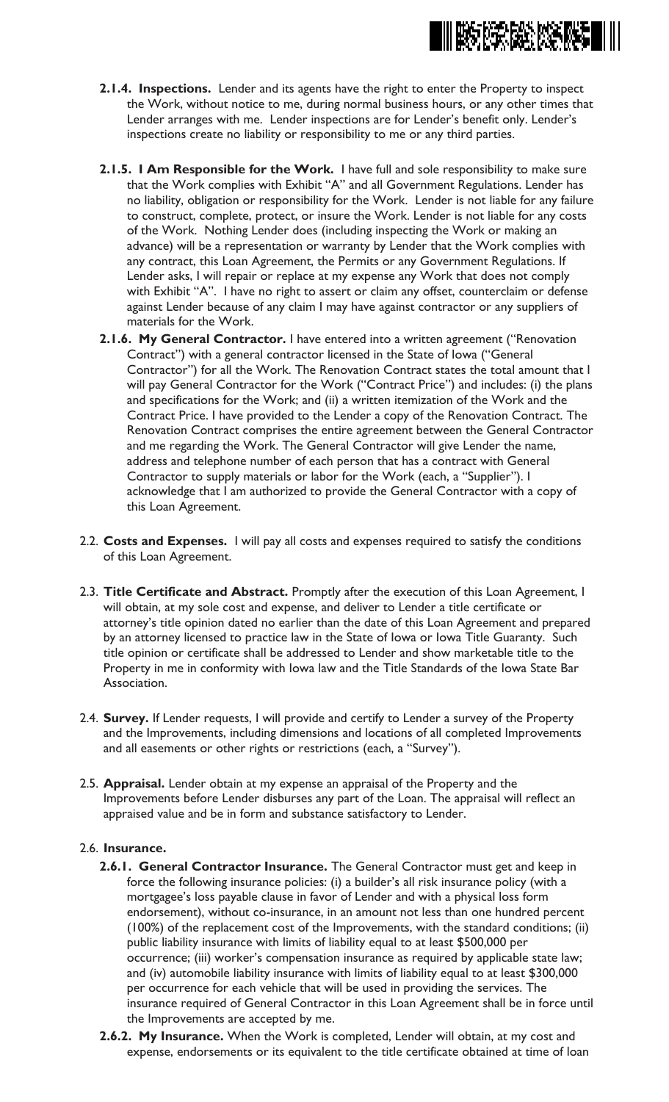

- **2.1.4. Inspections.** Lender and its agents have the right to enter the Property to inspect the Work, without notice to me, during normal business hours, or any other times that Lender arranges with me. Lender inspections are for Lender's benefit only. Lender's inspections create no liability or responsibility to me or any third parties.
- **2.1.5. I Am Responsible for the Work.** I have full and sole responsibility to make sure that the Work complies with Exhibit "A" and all Government Regulations. Lender has no liability, obligation or responsibility for the Work. Lender is not liable for any failure to construct, complete, protect, or insure the Work. Lender is not liable for any costs of the Work. Nothing Lender does (including inspecting the Work or making an advance) will be a representation or warranty by Lender that the Work complies with any contract, this Loan Agreement, the Permits or any Government Regulations. If Lender asks, I will repair or replace at my expense any Work that does not comply with Exhibit "A". I have no right to assert or claim any offset, counterclaim or defense against Lender because of any claim I may have against contractor or any suppliers of materials for the Work.
- **2.1.6. My General Contractor.** I have entered into a written agreement ("Renovation Contract") with a general contractor licensed in the State of Iowa ("General Contractor") for all the Work. The Renovation Contract states the total amount that I will pay General Contractor for the Work ("Contract Price") and includes: (i) the plans and specifications for the Work; and (ii) a written itemization of the Work and the Contract Price. I have provided to the Lender a copy of the Renovation Contract. The Renovation Contract comprises the entire agreement between the General Contractor and me regarding the Work. The General Contractor will give Lender the name, address and telephone number of each person that has a contract with General Contractor to supply materials or labor for the Work (each, a "Supplier"). I acknowledge that I am authorized to provide the General Contractor with a copy of this Loan Agreement.
- 2.2. **Costs and Expenses.** I will pay all costs and expenses required to satisfy the conditions of this Loan Agreement.
- 2.3. **Title Certificate and Abstract.** Promptly after the execution of this Loan Agreement, I will obtain, at my sole cost and expense, and deliver to Lender a title certificate or attorney's title opinion dated no earlier than the date of this Loan Agreement and prepared by an attorney licensed to practice law in the State of Iowa or Iowa Title Guaranty. Such title opinion or certificate shall be addressed to Lender and show marketable title to the Property in me in conformity with Iowa law and the Title Standards of the Iowa State Bar Association.
- 2.4. **Survey.** If Lender requests, I will provide and certify to Lender a survey of the Property and the Improvements, including dimensions and locations of all completed Improvements and all easements or other rights or restrictions (each, a "Survey").
- 2.5. **Appraisal.** Lender obtain at my expense an appraisal of the Property and the Improvements before Lender disburses any part of the Loan. The appraisal will reflect an appraised value and be in form and substance satisfactory to Lender.

#### 2.6. **Insurance.**

- **2.6.1. General Contractor Insurance.** The General Contractor must get and keep in force the following insurance policies: (i) a builder's all risk insurance policy (with a mortgagee's loss payable clause in favor of Lender and with a physical loss form endorsement), without co-insurance, in an amount not less than one hundred percent (100%) of the replacement cost of the Improvements, with the standard conditions; (ii) public liability insurance with limits of liability equal to at least \$500,000 per occurrence; (iii) worker's compensation insurance as required by applicable state law; and (iv) automobile liability insurance with limits of liability equal to at least \$300,000 per occurrence for each vehicle that will be used in providing the services. The insurance required of General Contractor in this Loan Agreement shall be in force until the Improvements are accepted by me.
- **2.6.2. My Insurance.** When the Work is completed, Lender will obtain, at my cost and expense, endorsements or its equivalent to the title certificate obtained at time of loan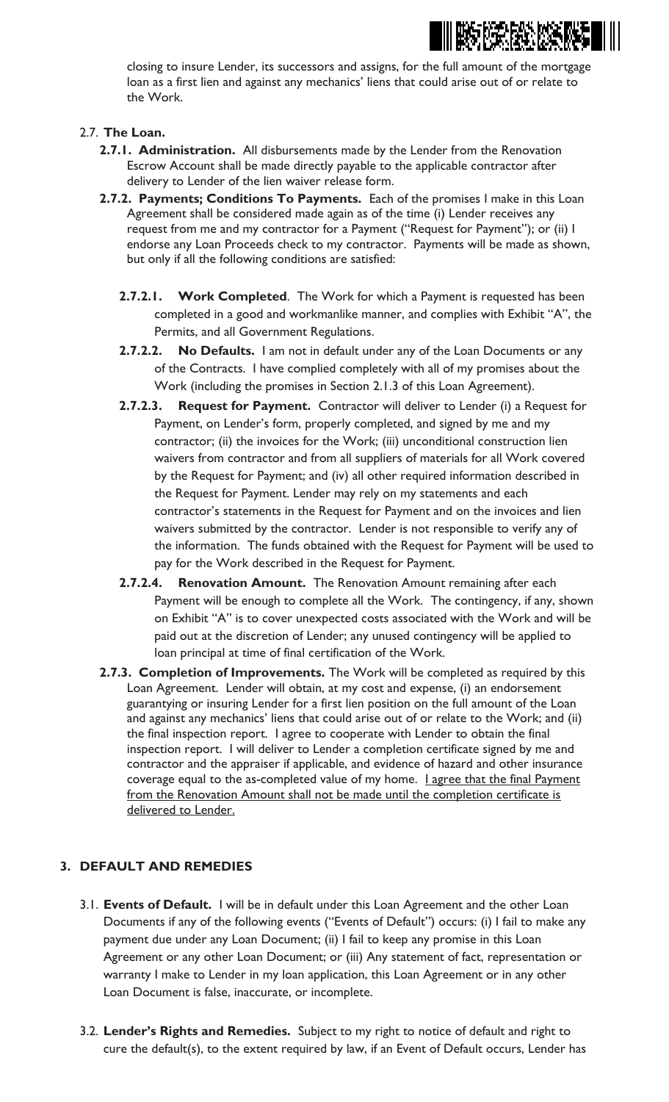

closing to insure Lender, its successors and assigns, for the full amount of the mortgage loan as a first lien and against any mechanics' liens that could arise out of or relate to the Work.

### 2.7. **The Loan.**

- **2.7.1. Administration.** All disbursements made by the Lender from the Renovation Escrow Account shall be made directly payable to the applicable contractor after delivery to Lender of the lien waiver release form.
- **2.7.2. Payments; Conditions To Payments.** Each of the promises I make in this Loan Agreement shall be considered made again as of the time (i) Lender receives any request from me and my contractor for a Payment ("Request for Payment"); or (ii) I endorse any Loan Proceeds check to my contractor. Payments will be made as shown, but only if all the following conditions are satisfied:
	- **2.7.2.1. Work Completed**. The Work for which a Payment is requested has been completed in a good and workmanlike manner, and complies with Exhibit "A", the Permits, and all Government Regulations.
	- **2.7.2.2. No Defaults.** I am not in default under any of the Loan Documents or any of the Contracts. I have complied completely with all of my promises about the Work (including the promises in Section 2.1.3 of this Loan Agreement).
	- **2.7.2.3. Request for Payment.** Contractor will deliver to Lender (i) a Request for Payment, on Lender's form, properly completed, and signed by me and my contractor; (ii) the invoices for the Work; (iii) unconditional construction lien waivers from contractor and from all suppliers of materials for all Work covered by the Request for Payment; and (iv) all other required information described in the Request for Payment. Lender may rely on my statements and each contractor's statements in the Request for Payment and on the invoices and lien waivers submitted by the contractor. Lender is not responsible to verify any of the information. The funds obtained with the Request for Payment will be used to pay for the Work described in the Request for Payment.
	- **2.7.2.4. Renovation Amount.** The Renovation Amount remaining after each Payment will be enough to complete all the Work. The contingency, if any, shown on Exhibit "A" is to cover unexpected costs associated with the Work and will be paid out at the discretion of Lender; any unused contingency will be applied to loan principal at time of final certification of the Work.
- **2.7.3. Completion of Improvements.** The Work will be completed as required by this Loan Agreement. Lender will obtain, at my cost and expense, (i) an endorsement guarantying or insuring Lender for a first lien position on the full amount of the Loan and against any mechanics' liens that could arise out of or relate to the Work; and (ii) the final inspection report. I agree to cooperate with Lender to obtain the final inspection report. I will deliver to Lender a completion certificate signed by me and contractor and the appraiser if applicable, and evidence of hazard and other insurance coverage equal to the as-completed value of my home. Lagree that the final Payment from the Renovation Amount shall not be made until the completion certificate is delivered to Lender.

### **3. DEFAULT AND REMEDIES**

- 3.1. **Events of Default.** I will be in default under this Loan Agreement and the other Loan Documents if any of the following events ("Events of Default") occurs: (i) I fail to make any payment due under any Loan Document; (ii) I fail to keep any promise in this Loan Agreement or any other Loan Document; or (iii) Any statement of fact, representation or warranty I make to Lender in my loan application, this Loan Agreement or in any other Loan Document is false, inaccurate, or incomplete.
- 3.2. **Lender's Rights and Remedies.** Subject to my right to notice of default and right to cure the default(s), to the extent required by law, if an Event of Default occurs, Lender has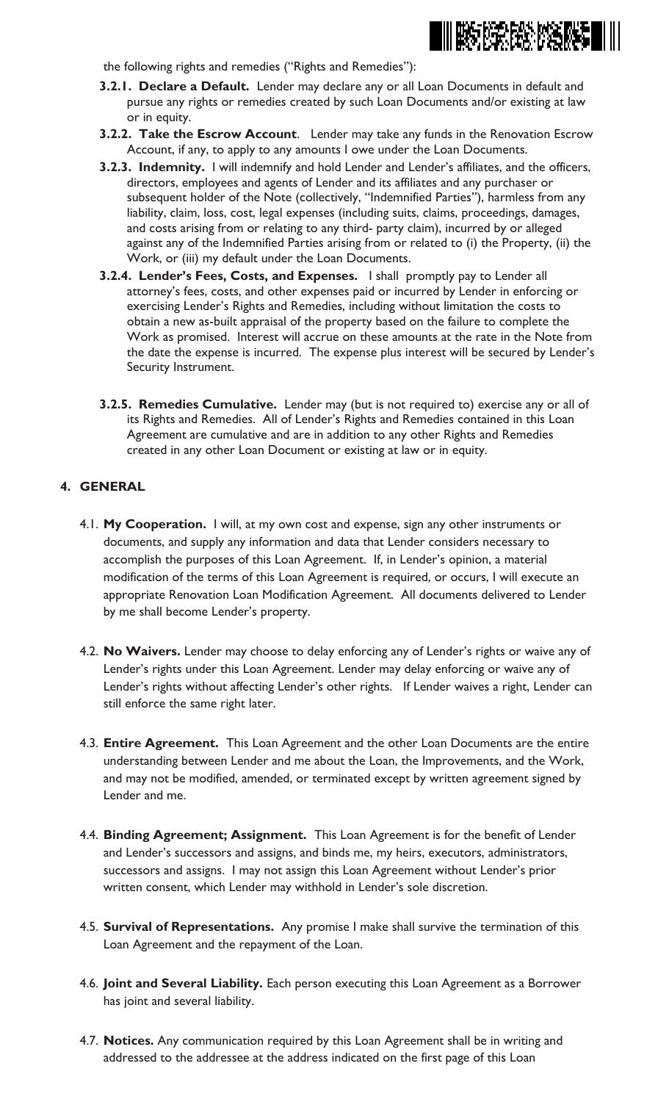

the following rights and remedies ("Rights and Remedies"):

- **3.2.1. Declare a Default.** Lender may declare any or all Loan Documents in default and pursue any rights or remedies created by such Loan Documents and/or existing at law or in equity.
- **3.2.2. Take the Escrow Account**. Lender may take any funds in the Renovation Escrow Account, if any, to apply to any amounts I owe under the Loan Documents.
- **3.2.3. Indemnity.** I will indemnify and hold Lender and Lender's affiliates, and the officers, directors, employees and agents of Lender and its affiliates and any purchaser or subsequent holder of the Note (collectively, "Indemnified Parties"), harmless from any liability, claim, loss, cost, legal expenses (including suits, claims, proceedings, damages, and costs arising from or relating to any third- party claim), incurred by or alleged against any of the Indemnified Parties arising from or related to (i) the Property, (ii) the Work, or (iii) my default under the Loan Documents.
- **3.2.4. Lender's Fees, Costs, and Expenses.** I shall promptly pay to Lender all attorney's fees, costs, and other expenses paid or incurred by Lender in enforcing or exercising Lender's Rights and Remedies, including without limitation the costs to obtain a new as-built appraisal of the property based on the failure to complete the Work as promised. Interest will accrue on these amounts at the rate in the Note from the date the expense is incurred. The expense plus interest will be secured by Lender's Security Instrument.
- **3.2.5. Remedies Cumulative.** Lender may (but is not required to) exercise any or all of its Rights and Remedies. All of Lender's Rights and Remedies contained in this Loan Agreement are cumulative and are in addition to any other Rights and Remedies created in any other Loan Document or existing at law or in equity.

#### **4. GENERAL**

- 4.1. **My Cooperation.** I will, at my own cost and expense, sign any other instruments or documents, and supply any information and data that Lender considers necessary to accomplish the purposes of this Loan Agreement. If, in Lender's opinion, a material modification of the terms of this Loan Agreement is required, or occurs, I will execute an appropriate Renovation Loan Modification Agreement. All documents delivered to Lender by me shall become Lender's property.
- 4.2. **No Waivers.** Lender may choose to delay enforcing any of Lender's rights or waive any of Lender's rights under this Loan Agreement. Lender may delay enforcing or waive any of Lender's rights without affecting Lender's other rights. If Lender waives a right, Lender can still enforce the same right later.
- 4.3. **Entire Agreement.** This Loan Agreement and the other Loan Documents are the entire understanding between Lender and me about the Loan, the Improvements, and the Work, and may not be modified, amended, or terminated except by written agreement signed by Lender and me.
- 4.4. **Binding Agreement; Assignment.** This Loan Agreement is for the benefit of Lender and Lender's successors and assigns, and binds me, my heirs, executors, administrators, successors and assigns. I may not assign this Loan Agreement without Lender's prior written consent, which Lender may withhold in Lender's sole discretion.
- 4.5. **Survival of Representations.** Any promise I make shall survive the termination of this Loan Agreement and the repayment of the Loan.
- 4.6. **Joint and Several Liability.** Each person executing this Loan Agreement as a Borrower has joint and several liability.
- 4.7. **Notices.** Any communication required by this Loan Agreement shall be in writing and addressed to the addressee at the address indicated on the first page of this Loan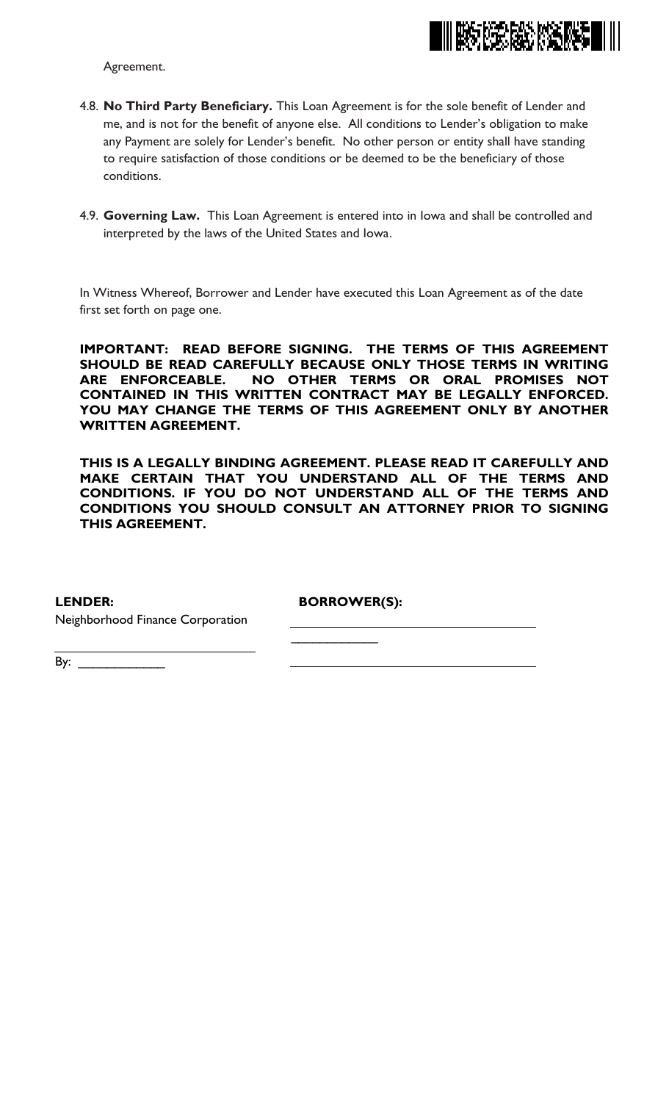

Agreement.

- 4.8. **No Third Party Beneficiary.** This Loan Agreement is for the sole benefit of Lender and me, and is not for the benefit of anyone else. All conditions to Lender's obligation to make any Payment are solely for Lender's benefit. No other person or entity shall have standing to require satisfaction of those conditions or be deemed to be the beneficiary of those conditions.
- 4.9. **Governing Law.** This Loan Agreement is entered into in Iowa and shall be controlled and interpreted by the laws of the United States and Iowa.

In Witness Whereof, Borrower and Lender have executed this Loan Agreement as of the date first set forth on page one.

**IMPORTANT: READ BEFORE SIGNING. THE TERMS OF THIS AGREEMENT SHOULD BE READ CAREFULLY BECAUSE ONLY THOSE TERMS IN WRITING ARE ENFORCEABLE. NO OTHER TERMS OR ORAL PROMISES NOT CONTAINED IN THIS WRITTEN CONTRACT MAY BE LEGALLY ENFORCED. YOU MAY CHANGE THE TERMS OF THIS AGREEMENT ONLY BY ANOTHER WRITTEN AGREEMENT.**

**THIS IS A LEGALLY BINDING AGREEMENT. PLEASE READ IT CAREFULLY AND MAKE CERTAIN THAT YOU UNDERSTAND ALL OF THE TERMS AND CONDITIONS. IF YOU DO NOT UNDERSTAND ALL OF THE TERMS AND CONDITIONS YOU SHOULD CONSULT AN ATTORNEY PRIOR TO SIGNING THIS AGREEMENT.**

**LENDER:**

**BORROWER(S):**

 $\overline{\phantom{a}}$ 

Neighborhood Finance Corporation

By: \_\_\_\_\_\_\_\_\_\_\_\_